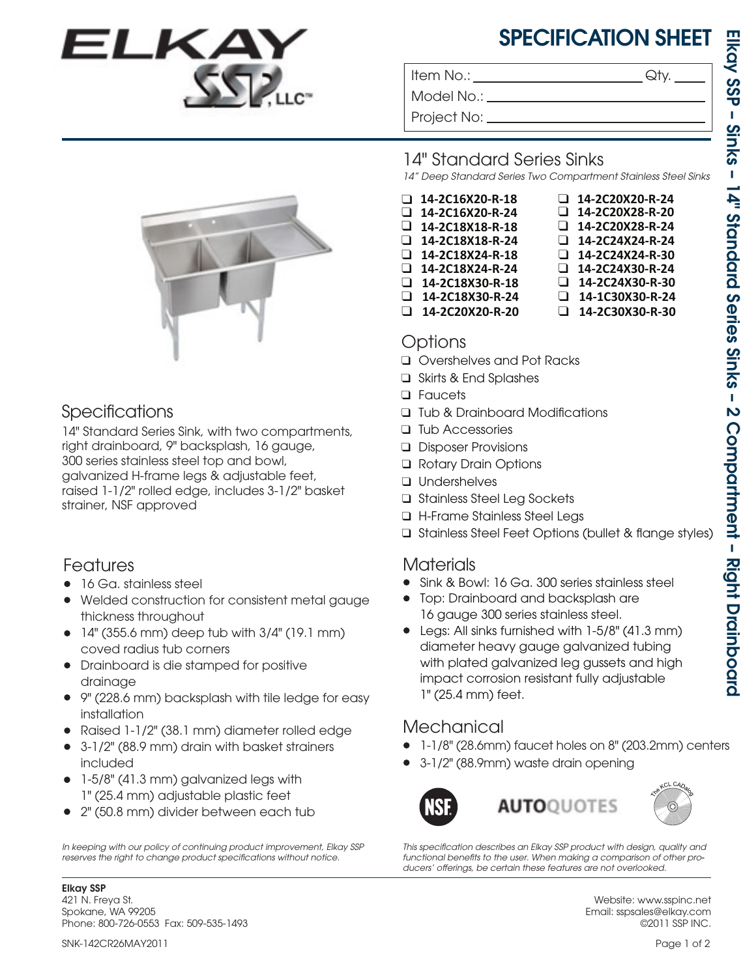# SPECIFICATION SHEET

❑ **14-2C24X30-R-24** ❑ **14-2C24X30-R-30**

❑ **14-1C30X30-R-24** ❑ **14-2C30X30-R-30**

❑ **14-2C20X20-R-24** ❑ **14-2C20X28-R-20** ❑ **14-2C20X28-R-24** ❑ **14-2C24X24-R-24** ❑ **14-2C24X24-R-30**

Item No.: Given a control of the Sety.

Model No.: \_

Project No:



### Specifications

14" Standard Series Sink, with two compartments, right drainboard, 9" backsplash, 16 gauge, 300 series stainless steel top and bowl, galvanized H-frame legs & adjustable feet, raised 1-1/2" rolled edge, includes 3-1/2" basket strainer, NSF approved

### Features

- 16 Ga. stainless steel
- Welded construction for consistent metal gauge thickness throughout
- $\bullet$  14" (355.6 mm) deep tub with 3/4" (19.1 mm) coved radius tub corners
- Drainboard is die stamped for positive drainage
- 9" (228.6 mm) backsplash with tile ledge for easy installation
- Raised 1-1/2" (38.1 mm) diameter rolled edge •
- 3-1/2" (88.9 mm) drain with basket strainers included
- 1-5/8" (41.3 mm) galvanized legs with 1" (25.4 mm) adjustable plastic feet
- 2" (50.8 mm) divider between each tub •

*In keeping with our policy of continuing product improvement, Elkay SSP*  reserves the right to change product specifications without notice.

## 14" Standard Series Sinks

*14" Deep Standard Series Two Compartment Stainless Steel Sinks*

- ❑ **14-2C16X20-R-18** ❑ **14-2C16X20-R-24**
- ❑ **14-2C18X18-R-18** ❑ **14-2C18X18-R-24**
- ❑ **14-2C18X24-R-24** ❑ **14-2C18X24-R-18**
- ❑ **14-2C18X30-R-18** ❑ **14-2C18X30-R-24**
- ❑ **14-2C20X20-R-20**
- Options
- ❑ Overshelves and Pot Racks
- Skirts & End Splashes ❑
- Faucets ❑
- □ Tub & Drainboard Modifications
- □ Tub Accessories
- Disposer Provisions ❑
- Rotary Drain Options ❑
- Undershelves ❑
- Stainless Steel Leg Sockets ❑
- H-Frame Stainless Steel Legs ❑
- □ Stainless Steel Feet Options (bullet & flange styles)

## Materials

- Sink & Bowl: 16 Ga. 300 series stainless steel •
- Top: Drainboard and backsplash are 16 gauge 300 series stainless steel.
- Legs: All sinks furnished with 1-5/8" (41.3 mm) diameter heavy gauge galvanized tubing with plated galvanized leg gussets and high impact corrosion resistant fully adjustable 1" (25.4 mm) feet.

## **Mechanical**

- 1-1/8" (28.6mm) faucet holes on 8" (203.2mm) centers •
- 3-1/2" (88.9mm) waste drain opening •



This specification describes an Elkay SSP product with design, quality and *functional benets to the user. When making a comparison of other pro-* ducers' offerings, be certain these features are not overlooked.

> Website: www.sspinc.net Email: sspsales@elkay.com ©2011 SSP INC.

Phone: 800-726-0553 Fax: 509-535-1493

Elkay SSP 421 N. Freya St. Spokane, WA 99205